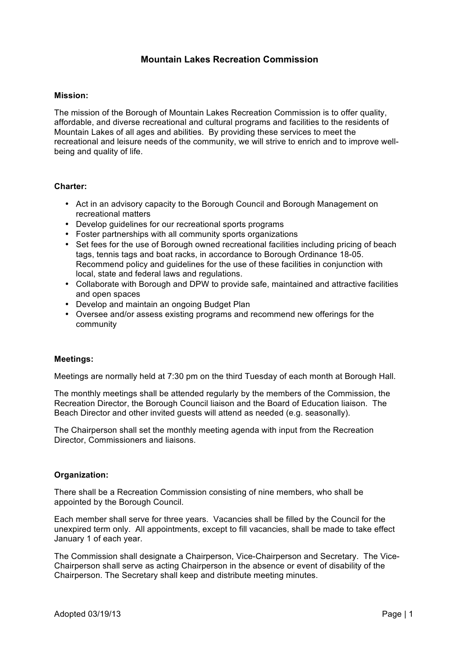# **Mountain Lakes Recreation Commission**

#### **Mission:**

The mission of the Borough of Mountain Lakes Recreation Commission is to offer quality, affordable, and diverse recreational and cultural programs and facilities to the residents of Mountain Lakes of all ages and abilities. By providing these services to meet the recreational and leisure needs of the community, we will strive to enrich and to improve wellbeing and quality of life.

## **Charter:**

- Act in an advisory capacity to the Borough Council and Borough Management on recreational matters
- Develop guidelines for our recreational sports programs
- Foster partnerships with all community sports organizations
- Set fees for the use of Borough owned recreational facilities including pricing of beach tags, tennis tags and boat racks, in accordance to Borough Ordinance 18-05. Recommend policy and guidelines for the use of these facilities in conjunction with local, state and federal laws and regulations.
- Collaborate with Borough and DPW to provide safe, maintained and attractive facilities and open spaces
- Develop and maintain an ongoing Budget Plan
- Oversee and/or assess existing programs and recommend new offerings for the community

#### **Meetings:**

Meetings are normally held at 7:30 pm on the third Tuesday of each month at Borough Hall.

The monthly meetings shall be attended regularly by the members of the Commission, the Recreation Director, the Borough Council liaison and the Board of Education liaison. The Beach Director and other invited guests will attend as needed (e.g. seasonally).

The Chairperson shall set the monthly meeting agenda with input from the Recreation Director, Commissioners and liaisons.

#### **Organization:**

There shall be a Recreation Commission consisting of nine members, who shall be appointed by the Borough Council.

Each member shall serve for three years. Vacancies shall be filled by the Council for the unexpired term only. All appointments, except to fill vacancies, shall be made to take effect January 1 of each year.

The Commission shall designate a Chairperson, Vice-Chairperson and Secretary. The Vice-Chairperson shall serve as acting Chairperson in the absence or event of disability of the Chairperson. The Secretary shall keep and distribute meeting minutes.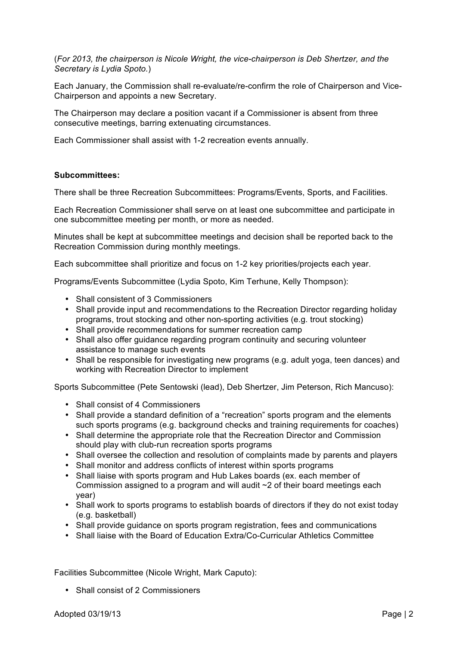(*For 2013, the chairperson is Nicole Wright, the vice-chairperson is Deb Shertzer, and the Secretary is Lydia Spoto.*)

Each January, the Commission shall re-evaluate/re-confirm the role of Chairperson and Vice-Chairperson and appoints a new Secretary.

The Chairperson may declare a position vacant if a Commissioner is absent from three consecutive meetings, barring extenuating circumstances.

Each Commissioner shall assist with 1-2 recreation events annually.

## **Subcommittees:**

There shall be three Recreation Subcommittees: Programs/Events, Sports, and Facilities.

Each Recreation Commissioner shall serve on at least one subcommittee and participate in one subcommittee meeting per month, or more as needed.

Minutes shall be kept at subcommittee meetings and decision shall be reported back to the Recreation Commission during monthly meetings.

Each subcommittee shall prioritize and focus on 1-2 key priorities/projects each year.

Programs/Events Subcommittee (Lydia Spoto, Kim Terhune, Kelly Thompson):

- Shall consistent of 3 Commissioners
- Shall provide input and recommendations to the Recreation Director regarding holiday programs, trout stocking and other non-sporting activities (e.g. trout stocking)
- Shall provide recommendations for summer recreation camp
- Shall also offer guidance regarding program continuity and securing volunteer assistance to manage such events
- Shall be responsible for investigating new programs (e.g. adult yoga, teen dances) and working with Recreation Director to implement

Sports Subcommittee (Pete Sentowski (lead), Deb Shertzer, Jim Peterson, Rich Mancuso):

- Shall consist of 4 Commissioners
- Shall provide a standard definition of a "recreation" sports program and the elements such sports programs (e.g. background checks and training requirements for coaches)
- Shall determine the appropriate role that the Recreation Director and Commission should play with club-run recreation sports programs
- Shall oversee the collection and resolution of complaints made by parents and players
- Shall monitor and address conflicts of interest within sports programs
- Shall liaise with sports program and Hub Lakes boards (ex. each member of Commission assigned to a program and will audit ~2 of their board meetings each year)
- Shall work to sports programs to establish boards of directors if they do not exist today (e.g. basketball)
- Shall provide guidance on sports program registration, fees and communications
- Shall liaise with the Board of Education Extra/Co-Curricular Athletics Committee

Facilities Subcommittee (Nicole Wright, Mark Caputo):

• Shall consist of 2 Commissioners